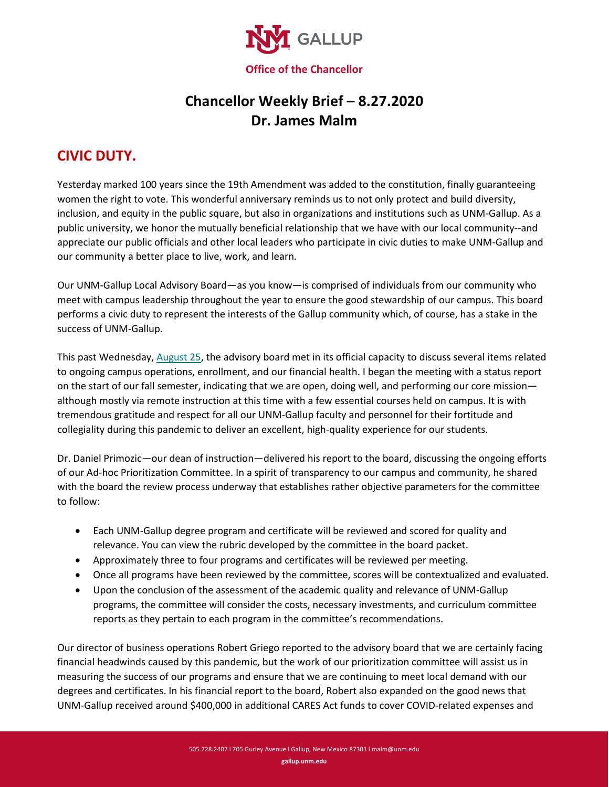

## **Chancellor Weekly Brief – 8.27.2020 Dr. James Malm**

## **CIVIC DUTY.**

Yesterday marked 100 years since the 19th Amendment was added to the constitution, finally guaranteeing women the right to vote. This wonderful anniversary reminds us to not only protect and build diversity, inclusion, and equity in the public square, but also in organizations and institutions such as UNM-Gallup. As a public university, we honor the mutually beneficial relationship that we have with our local community--and appreciate our public officials and other local leaders who participate in civic duties to make UNM-Gallup and our community a better place to live, work, and learn.

Our UNM-Gallup Local Advisory Board—as you know—is comprised of individuals from our community who meet with campus leadership throughout the year to ensure the good stewardship of our campus. This board performs a civic duty to represent the interests of the Gallup community which, of course, has a stake in the success of UNM-Gallup.

This past Wednesday[, August 25,](https://www.gallup.unm.edu/pdfs/20200825-Board%20Packet.pdf) the advisory board met in its official capacity to discuss several items related to ongoing campus operations, enrollment, and our financial health. I began the meeting with a status report on the start of our fall semester, indicating that we are open, doing well, and performing our core mission although mostly via remote instruction at this time with a few essential courses held on campus. It is with tremendous gratitude and respect for all our UNM-Gallup faculty and personnel for their fortitude and collegiality during this pandemic to deliver an excellent, high-quality experience for our students.

Dr. Daniel Primozic—our dean of instruction—delivered his report to the board, discussing the ongoing efforts of our Ad-hoc Prioritization Committee. In a spirit of transparency to our campus and community, he shared with the board the review process underway that establishes rather objective parameters for the committee to follow:

- Each UNM-Gallup degree program and certificate will be reviewed and scored for quality and relevance. You can view the rubric developed by the committee in the board packet.
- Approximately three to four programs and certificates will be reviewed per meeting.
- Once all programs have been reviewed by the committee, scores will be contextualized and evaluated.
- Upon the conclusion of the assessment of the academic quality and relevance of UNM-Gallup programs, the committee will consider the costs, necessary investments, and curriculum committee reports as they pertain to each program in the committee's recommendations.

Our director of business operations Robert Griego reported to the advisory board that we are certainly facing financial headwinds caused by this pandemic, but the work of our prioritization committee will assist us in measuring the success of our programs and ensure that we are continuing to meet local demand with our degrees and certificates. In his financial report to the board, Robert also expanded on the good news that UNM-Gallup received around \$400,000 in additional CARES Act funds to cover COVID-related expenses and